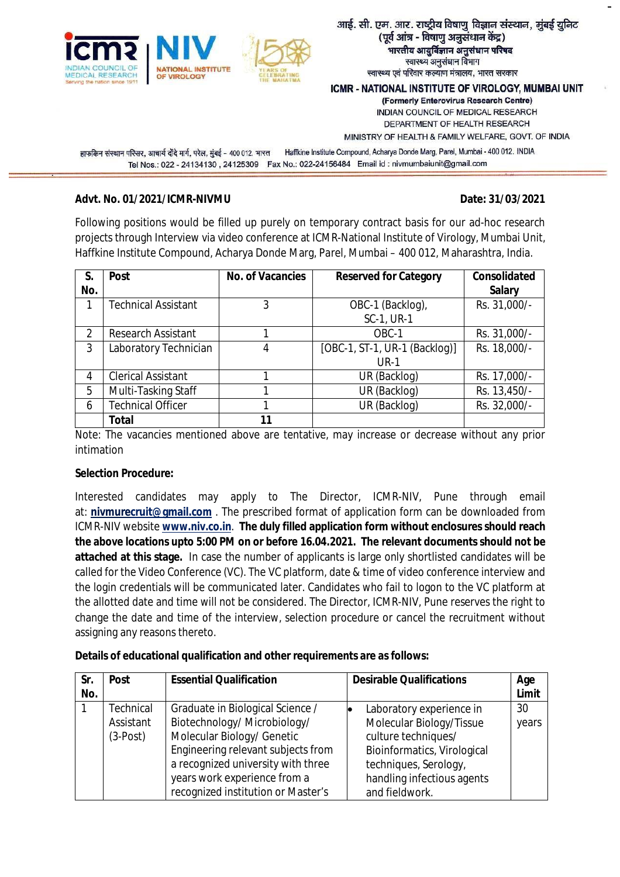

#### आई. सी. एम. आर. राष्ट्रीय विषाणु विज्ञान संस्थान, मुंबई यूनिट (पूर्व आंत्र - विषाणु अनुसंधान केंद्र) भारतीय आयुर्विज्ञान अनुसंधान परिषद स्वास्थ्य अनुसंधान विभाग स्वास्थ्य एवं परिवार कल्याण मंत्रालय, भारत सरकार

ICMR - NATIONAL INSTITUTE OF VIROLOGY, MUMBAI UNIT

(Formerly Enterovirus Research Centre) INDIAN COUNCIL OF MEDICAL RESEARCH DEPARTMENT OF HEALTH RESEARCH

MINISTRY OF HEALTH & FAMILY WELFARE, GOVT. OF INDIA

हाफकिन संस्थान परिसर, आचार्य दोंदे मार्ग, परेल, मुंबई - 400 012, भारत Haffkine Institute Compound, Acharya Donde Marg, Parel, Mumbai - 400 012. INDIA Tel Nos.: 022 - 24134130, 24125309 Fax No.: 022-24156484 Email id: nivmumbaiunit@gmail.com

#### **Advt. No. 01/2021/ICMR-NIVMU Date: 31/03/2021**

Following positions would be filled up purely on temporary contract basis for our ad-hoc research projects through Interview via video conference at ICMR-National Institute of Virology, Mumbai Unit, Haffkine Institute Compound, Acharya Donde Marg, Parel, Mumbai – 400 012, Maharashtra, India.

| S.<br>No.      | <b>Post</b>                | <b>No. of Vacancies</b> | <b>Reserved for Category</b>                 | <b>Consolidated</b><br><b>Salary</b> |
|----------------|----------------------------|-------------------------|----------------------------------------------|--------------------------------------|
|                | <b>Technical Assistant</b> | 3                       | OBC-1 (Backlog),<br>SC-1, UR-1               | Rs. 31,000/-                         |
|                |                            |                         |                                              |                                      |
| $\mathfrak{D}$ | <b>Research Assistant</b>  |                         | OBC-1                                        | Rs. 31,000/-                         |
| 3              | Laboratory Technician      | 4                       | [OBC-1, ST-1, UR-1 (Backlog)]<br><b>UR-1</b> | Rs. 18,000/-                         |
| 4              | <b>Clerical Assistant</b>  |                         | UR (Backlog)                                 | Rs. 17,000/-                         |
| 5              | Multi-Tasking Staff        |                         | UR (Backlog)                                 | Rs. 13,450/-                         |
| 6              | <b>Technical Officer</b>   |                         | UR (Backlog)                                 | Rs. 32,000/-                         |
|                | Total                      | 11                      |                                              |                                      |

Note: The vacancies mentioned above are tentative, may increase or decrease without any prior intimation

## **Selection Procedure:**

Interested candidates may apply to The Director, ICMR-NIV, Pune through email at: **[nivmurecruit@gmail.com](mailto:nivmurecruit@gmail.com)** . The prescribed format of application form can be downloaded from ICMR-NIV website **[www.niv.co.in](http://www.niv.co.in)**. **The duly filled application form without enclosures should reach the above locations upto 5:00 PM on or before 16.04.2021. The relevant documents should not be attached at this stage.** In case the number of applicants is large only shortlisted candidates will be called for the Video Conference (VC). The VC platform, date & time of video conference interview and the login credentials will be communicated later. Candidates who fail to logon to the VC platform at the allotted date and time will not be considered. The Director, ICMR-NIV, Pune reserves the right to change the date and time of the interview, selection procedure or cancel the recruitment without assigning any reasons thereto.

| Details of educational qualification and other requirements are as follows: |  |
|-----------------------------------------------------------------------------|--|
|-----------------------------------------------------------------------------|--|

| Sr. | <b>Essential Qualification</b><br><b>Post</b> |                                    | <b>Desirable Qualifications</b> | Age   |
|-----|-----------------------------------------------|------------------------------------|---------------------------------|-------|
| No. |                                               |                                    |                                 | Limit |
|     | <b>Technical</b>                              | Graduate in Biological Science /   | Laboratory experience in        | 30    |
|     | Assistant                                     | Biotechnology/ Microbiology/       | Molecular Biology/Tissue        | years |
|     | $(3-Post)$                                    | Molecular Biology/ Genetic         | culture techniques/             |       |
|     |                                               | Engineering relevant subjects from | Bioinformatics, Virological     |       |
|     |                                               | a recognized university with three | techniques, Serology,           |       |
|     |                                               | years work experience from a       | handling infectious agents      |       |
|     |                                               | recognized institution or Master's | and fieldwork.                  |       |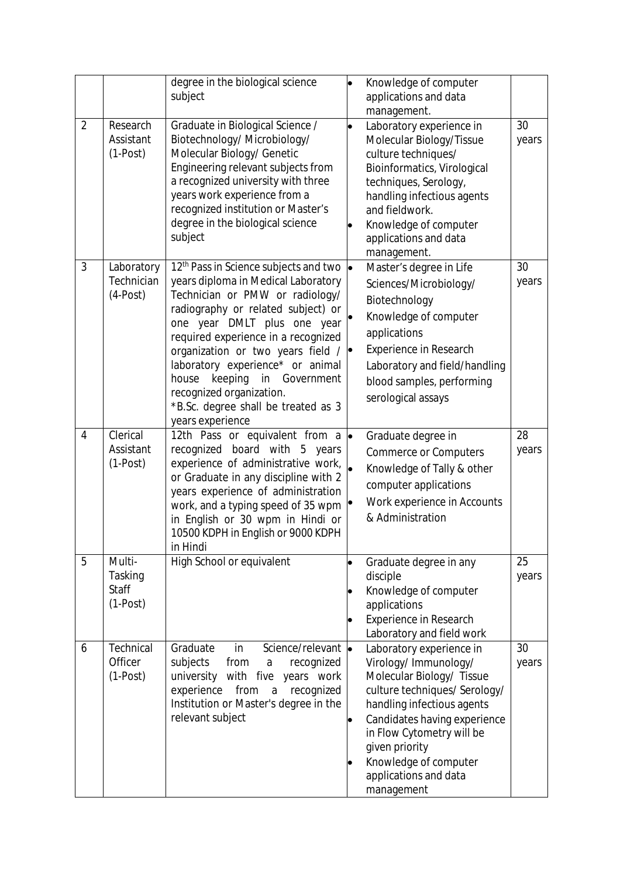|                |                                                 | degree in the biological science<br>subject                                                                                                                                                                                                                                                                                                                                                                                                  |   | Knowledge of computer<br>applications and data<br>management.                                                                                                                                                                                                                               |             |
|----------------|-------------------------------------------------|----------------------------------------------------------------------------------------------------------------------------------------------------------------------------------------------------------------------------------------------------------------------------------------------------------------------------------------------------------------------------------------------------------------------------------------------|---|---------------------------------------------------------------------------------------------------------------------------------------------------------------------------------------------------------------------------------------------------------------------------------------------|-------------|
| $\overline{2}$ | Research<br>Assistant<br>$(1-Post)$             | Graduate in Biological Science /<br>Biotechnology/ Microbiology/<br>Molecular Biology/ Genetic<br>Engineering relevant subjects from<br>a recognized university with three<br>years work experience from a<br>recognized institution or Master's<br>degree in the biological science<br>subject                                                                                                                                              |   | Laboratory experience in<br>Molecular Biology/Tissue<br>culture techniques/<br>Bioinformatics, Virological<br>techniques, Serology,<br>handling infectious agents<br>and fieldwork.<br>Knowledge of computer<br>applications and data<br>management.                                        | 30<br>years |
| 3              | Laboratory<br>Technician<br>$(4-Post)$          | 12 <sup>th</sup> Pass in Science subjects and two<br>years diploma in Medical Laboratory<br>Technician or PMW or radiology/<br>radiography or related subject) or<br>one year DMLT plus one year<br>required experience in a recognized<br>organization or two years field /<br>laboratory experience* or animal<br>keeping<br>house<br>in Government<br>recognized organization.<br>*B.Sc. degree shall be treated as 3<br>years experience | p | Master's degree in Life<br>Sciences/Microbiology/<br>Biotechnology<br>Knowledge of computer<br>applications<br><b>Experience in Research</b><br>Laboratory and field/handling<br>blood samples, performing<br>serological assays                                                            | 30<br>years |
| 4              | Clerical<br>Assistant<br>$(1-Post)$             | 12th Pass or equivalent from a<br>recognized board with 5<br>years<br>experience of administrative work,<br>or Graduate in any discipline with 2<br>years experience of administration<br>work, and a typing speed of 35 wpm<br>in English or 30 wpm in Hindi or<br>10500 KDPH in English or 9000 KDPH<br>in Hindi                                                                                                                           | . | Graduate degree in<br><b>Commerce or Computers</b><br>Knowledge of Tally & other<br>computer applications<br>Work experience in Accounts<br>& Administration                                                                                                                                | 28<br>years |
| 5              | Multi-<br>Tasking<br><b>Staff</b><br>$(1-Post)$ | High School or equivalent                                                                                                                                                                                                                                                                                                                                                                                                                    |   | Graduate degree in any<br>disciple<br>Knowledge of computer<br>applications<br>Experience in Research<br>Laboratory and field work                                                                                                                                                          | 25<br>years |
| 6              | Technical<br>Officer<br>$(1-Post)$              | Science/relevant  <br>Graduate<br>in<br>subjects<br>from<br>recognized<br>$\mathsf{a}$<br>university with five years work<br>experience<br>from<br>recognized<br>$\mathsf{a}$<br>Institution or Master's degree in the<br>relevant subject                                                                                                                                                                                                   |   | Laboratory experience in<br>Virology/Immunology/<br>Molecular Biology/ Tissue<br>culture techniques/ Serology/<br>handling infectious agents<br>Candidates having experience<br>in Flow Cytometry will be<br>given priority<br>Knowledge of computer<br>applications and data<br>management | 30<br>years |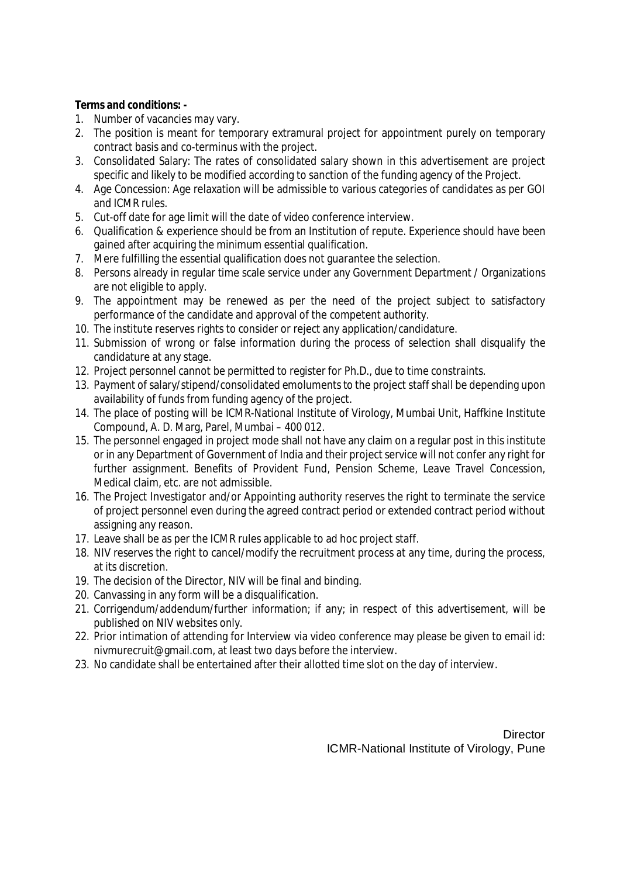#### **Terms and conditions: -**

- 1. Number of vacancies may vary.
- 2. The position is meant for temporary extramural project for appointment purely on temporary contract basis and co-terminus with the project.
- 3. Consolidated Salary: The rates of consolidated salary shown in this advertisement are project specific and likely to be modified according to sanction of the funding agency of the Project.
- 4. Age Concession: Age relaxation will be admissible to various categories of candidates as per GOI and ICMR rules.
- 5. Cut-off date for age limit will the date of video conference interview.
- 6. Qualification & experience should be from an Institution of repute. Experience should have been gained after acquiring the minimum essential qualification.
- 7. Mere fulfilling the essential qualification does not guarantee the selection.
- 8. Persons already in regular time scale service under any Government Department / Organizations are not eligible to apply.
- 9. The appointment may be renewed as per the need of the project subject to satisfactory performance of the candidate and approval of the competent authority.
- 10. The institute reserves rights to consider or reject any application/candidature.
- 11. Submission of wrong or false information during the process of selection shall disqualify the candidature at any stage.
- 12. Project personnel cannot be permitted to register for Ph.D., due to time constraints.
- 13. Payment of salary/stipend/consolidated emoluments to the project staff shall be depending upon availability of funds from funding agency of the project.
- 14. The place of posting will be ICMR-National Institute of Virology, Mumbai Unit, Haffkine Institute Compound, A. D. Marg, Parel, Mumbai – 400 012.
- 15. The personnel engaged in project mode shall not have any claim on a regular post in this institute or in any Department of Government of India and their project service will not confer any right for further assignment. Benefits of Provident Fund, Pension Scheme, Leave Travel Concession, Medical claim, etc. are not admissible.
- 16. The Project Investigator and/or Appointing authority reserves the right to terminate the service of project personnel even during the agreed contract period or extended contract period without assigning any reason.
- 17. Leave shall be as per the ICMR rules applicable to ad hoc project staff.
- 18. NIV reserves the right to cancel/modify the recruitment process at any time, during the process, at its discretion.
- 19. The decision of the Director, NIV will be final and binding.
- 20. Canvassing in any form will be a disqualification.
- 21. Corrigendum/addendum/further information; if any; in respect of this advertisement, will be published on NIV websites only.
- 22. Prior intimation of attending for Interview via video conference may please be given to email id: [nivmurecruit@gmail.com,](mailto:nivmurecruit@gmail.com,) at least two days before the interview.
- 23. No candidate shall be entertained after their allotted time slot on the day of interview.

**Director** ICMR-National Institute of Virology, Pune